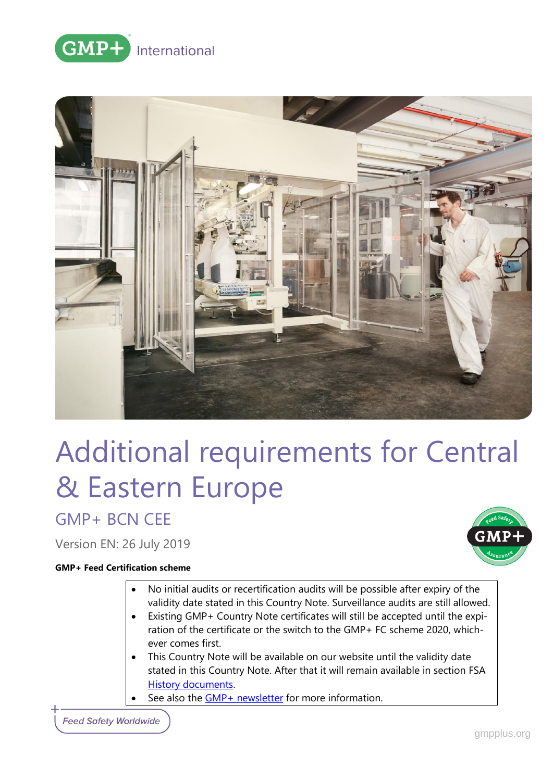



# Additional requirements for Central & Eastern Europe

GMP+ BCN CEE

Version EN: 26 July 2019

### **GMP+ Feed Certification scheme**

- 
- No initial audits or recertification audits will be possible after expiry of the validity date stated in this Country Note. Surveillance audits are still allowed.
- Existing GMP+ Country Note certificates will still be accepted until the expiration of the certificate or the switch to the GMP+ FC scheme 2020, whichever comes first.
- This Country Note will be available on our website until the validity date stated in this Country Note. After that it will remain available in section [FSA](https://www.gmpplus.org/en/feed-certification-scheme/gmp-fsa-certification/fsa-history-documents/)  **[History documents.](https://www.gmpplus.org/en/feed-certification-scheme/gmp-fsa-certification/fsa-history-documents/)** 
	- See also the **GMP**+ newsletter for more information.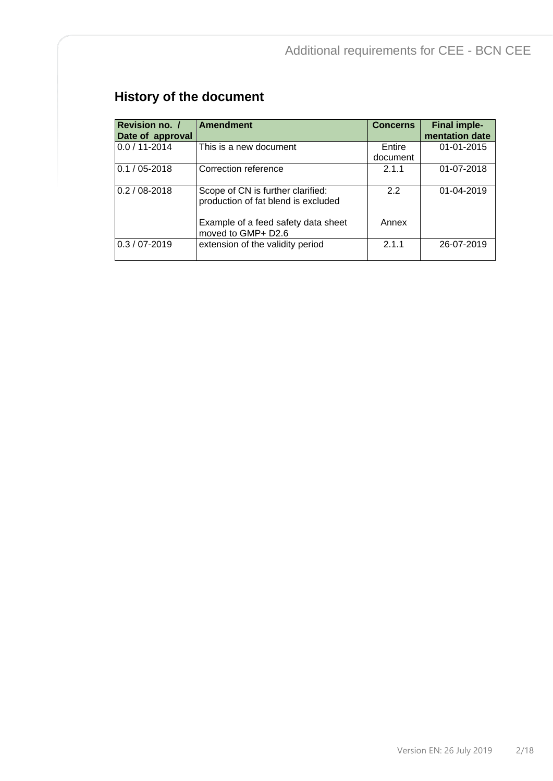# **History of the document**

| Revision no. /<br>Date of approval | <b>Amendment</b>                                                         | <b>Concerns</b>    | <b>Final imple-</b><br>mentation date |
|------------------------------------|--------------------------------------------------------------------------|--------------------|---------------------------------------|
| $0.0 / 11 - 2014$                  | This is a new document                                                   | Entire<br>document | $01 - 01 - 2015$                      |
| $0.1 / 05 - 2018$                  | Correction reference                                                     | 2.1.1              | 01-07-2018                            |
| $0.2 / 08 - 2018$                  | Scope of CN is further clarified:<br>production of fat blend is excluded | 2.2                | 01-04-2019                            |
|                                    | Example of a feed safety data sheet<br>moved to GMP+ D2.6                | Annex              |                                       |
| $0.3 / 07 - 2019$                  | extension of the validity period                                         | 2.1.1              | 26-07-2019                            |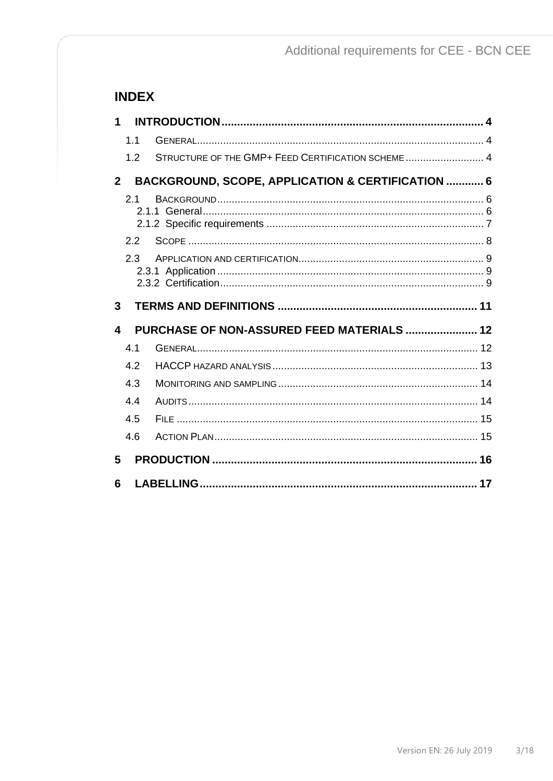# **INDEX**

| 1              |         |                                                    |  |
|----------------|---------|----------------------------------------------------|--|
|                | 1.1     |                                                    |  |
|                | 1.2     | STRUCTURE OF THE GMP+ FEED CERTIFICATION SCHEME  4 |  |
| 2 <sup>1</sup> |         | BACKGROUND, SCOPE, APPLICATION & CERTIFICATION  6  |  |
|                | 2.1     |                                                    |  |
|                | 2.2     |                                                    |  |
|                | $2.3 -$ |                                                    |  |
|                |         |                                                    |  |
| 3              |         |                                                    |  |
| 4              |         | PURCHASE OF NON-ASSURED FEED MATERIALS  12         |  |
|                | 4.1     |                                                    |  |
|                | 4.2     |                                                    |  |
|                | 4.3     |                                                    |  |
|                | 4.4     |                                                    |  |
|                | 4.5     |                                                    |  |
|                | 4.6     |                                                    |  |
| 5              |         |                                                    |  |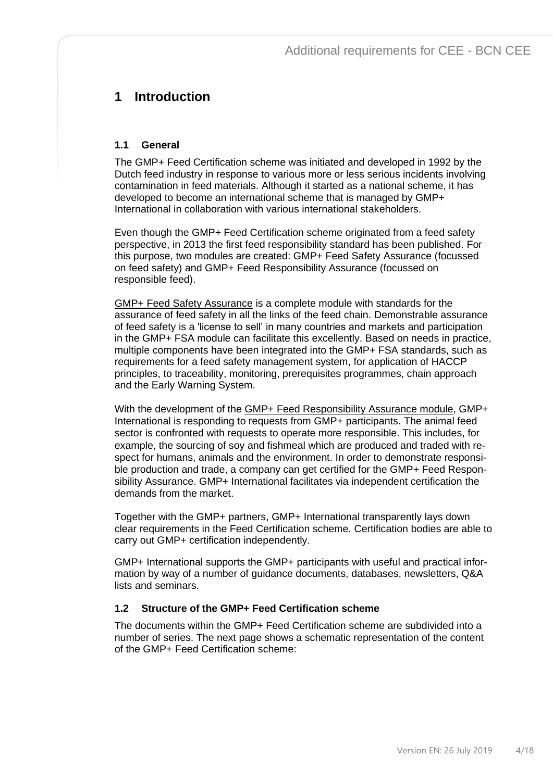# <span id="page-3-0"></span>**1 Introduction**

## <span id="page-3-1"></span>**1.1 General**

The GMP+ Feed Certification scheme was initiated and developed in 1992 by the Dutch feed industry in response to various more or less serious incidents involving contamination in feed materials. Although it started as a national scheme, it has developed to become an international scheme that is managed by GMP+ International in collaboration with various international stakeholders.

Even though the GMP+ Feed Certification scheme originated from a feed safety perspective, in 2013 the first feed responsibility standard has been published. For this purpose, two modules are created: GMP+ Feed Safety Assurance (focussed on feed safety) and GMP+ Feed Responsibility Assurance (focussed on responsible feed).

GMP+ Feed Safety Assurance is a complete module with standards for the assurance of feed safety in all the links of the feed chain. Demonstrable assurance of feed safety is a 'license to sell' in many countries and markets and participation in the GMP+ FSA module can facilitate this excellently. Based on needs in practice, multiple components have been integrated into the GMP+ FSA standards, such as requirements for a feed safety management system, for application of HACCP principles, to traceability, monitoring, prerequisites programmes, chain approach and the Early Warning System.

With the development of the GMP+ Feed Responsibility Assurance module, GMP+ International is responding to requests from GMP+ participants. The animal feed sector is confronted with requests to operate more responsible. This includes, for example, the sourcing of soy and fishmeal which are produced and traded with respect for humans, animals and the environment. In order to demonstrate responsible production and trade, a company can get certified for the GMP+ Feed Responsibility Assurance. GMP+ International facilitates via independent certification the demands from the market.

Together with the GMP+ partners, GMP+ International transparently lays down clear requirements in the Feed Certification scheme. Certification bodies are able to carry out GMP+ certification independently.

GMP+ International supports the GMP+ participants with useful and practical information by way of a number of guidance documents, databases, newsletters, Q&A lists and seminars.

## <span id="page-3-2"></span>**1.2 Structure of the GMP+ Feed Certification scheme**

The documents within the GMP+ Feed Certification scheme are subdivided into a number of series. The next page shows a schematic representation of the content of the GMP+ Feed Certification scheme: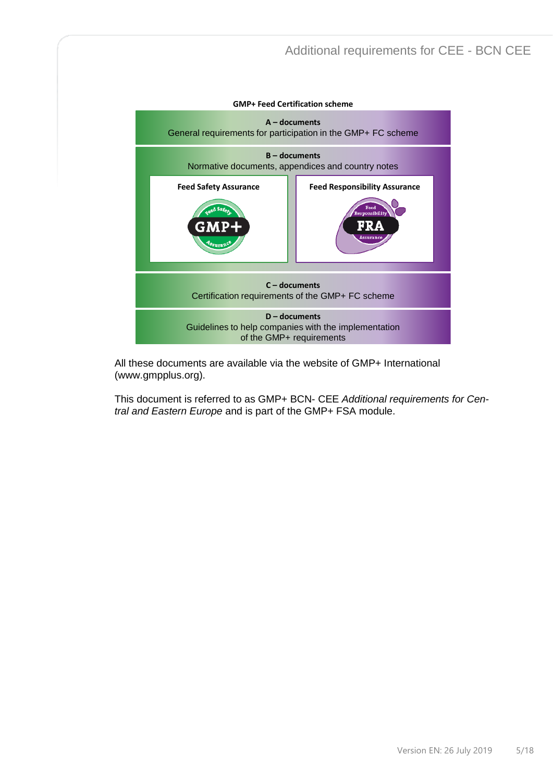

All these documents are available via the website of GMP+ International [\(www.gmpplus.org\)](http://www.gmpplus.org/).

This document is referred to as GMP+ BCN- CEE *Additional requirements for Central and Eastern Europe* and is part of the GMP+ FSA module.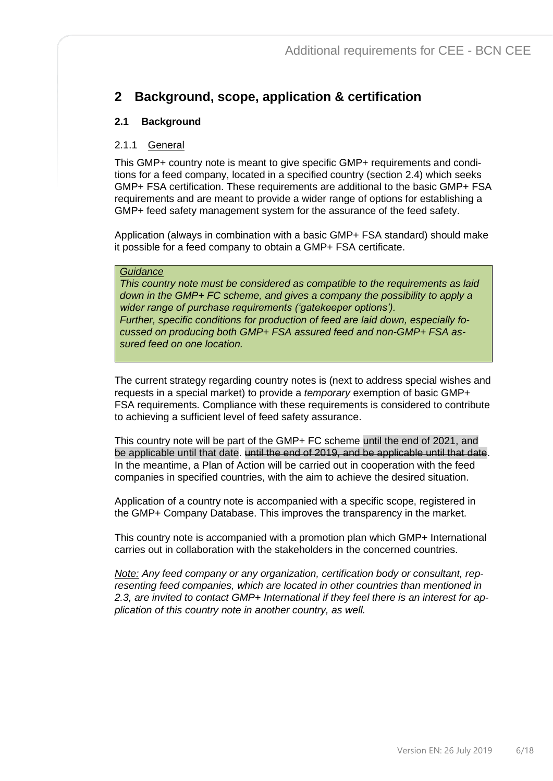# <span id="page-5-0"></span>**2 Background, scope, application & certification**

# <span id="page-5-1"></span>**2.1 Background**

## <span id="page-5-2"></span>2.1.1 General

This GMP+ country note is meant to give specific GMP+ requirements and conditions for a feed company, located in a specified country (section 2.4) which seeks GMP+ FSA certification. These requirements are additional to the basic GMP+ FSA requirements and are meant to provide a wider range of options for establishing a GMP+ feed safety management system for the assurance of the feed safety.

Application (always in combination with a basic GMP+ FSA standard) should make it possible for a feed company to obtain a GMP+ FSA certificate.

#### *Guidance*

*This country note must be considered as compatible to the requirements as laid down in the GMP+ FC scheme, and gives a company the possibility to apply a wider range of purchase requirements ('gatekeeper options'). Further, specific conditions for production of feed are laid down, especially focussed on producing both GMP+ FSA assured feed and non-GMP+ FSA assured feed on one location.*

The current strategy regarding country notes is (next to address special wishes and requests in a special market) to provide a *temporary* exemption of basic GMP+ FSA requirements. Compliance with these requirements is considered to contribute to achieving a sufficient level of feed safety assurance.

This country note will be part of the GMP+ FC scheme until the end of 2021, and be applicable until that date. until the end of 2019, and be applicable until that date. In the meantime, a Plan of Action will be carried out in cooperation with the feed companies in specified countries, with the aim to achieve the desired situation.

Application of a country note is accompanied with a specific scope, registered in the GMP+ Company Database. This improves the transparency in the market.

This country note is accompanied with a promotion plan which GMP+ International carries out in collaboration with the stakeholders in the concerned countries.

*Note: Any feed company or any organization, certification body or consultant, representing feed companies, which are located in other countries than mentioned in*  2.3, are invited to contact GMP+ International if they feel there is an interest for ap*plication of this country note in another country, as well.*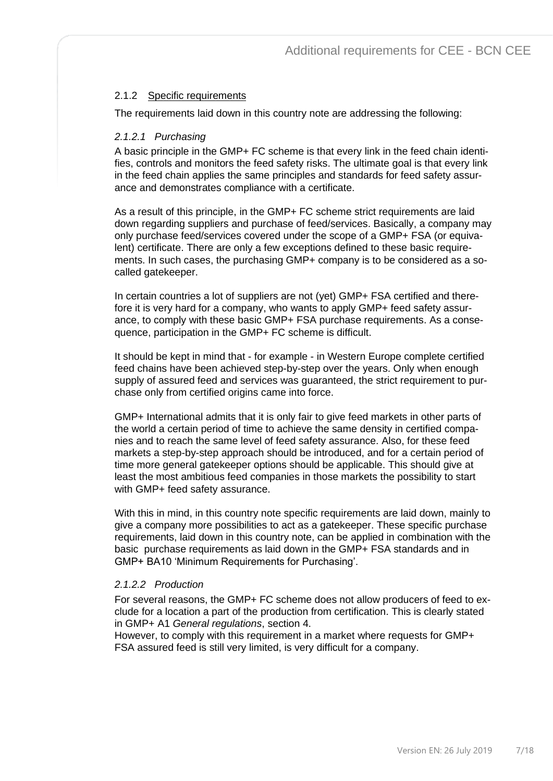## <span id="page-6-0"></span>2.1.2 Specific requirements

The requirements laid down in this country note are addressing the following:

#### *2.1.2.1 Purchasing*

A basic principle in the GMP+ FC scheme is that every link in the feed chain identifies, controls and monitors the feed safety risks. The ultimate goal is that every link in the feed chain applies the same principles and standards for feed safety assurance and demonstrates compliance with a certificate.

As a result of this principle, in the GMP+ FC scheme strict requirements are laid down regarding suppliers and purchase of feed/services. Basically, a company may only purchase feed/services covered under the scope of a GMP+ FSA (or equivalent) certificate. There are only a few exceptions defined to these basic requirements. In such cases, the purchasing GMP+ company is to be considered as a socalled gatekeeper.

In certain countries a lot of suppliers are not (yet) GMP+ FSA certified and therefore it is very hard for a company, who wants to apply GMP+ feed safety assurance, to comply with these basic GMP+ FSA purchase requirements. As a consequence, participation in the GMP+ FC scheme is difficult.

It should be kept in mind that - for example - in Western Europe complete certified feed chains have been achieved step-by-step over the years. Only when enough supply of assured feed and services was guaranteed, the strict requirement to purchase only from certified origins came into force.

GMP+ International admits that it is only fair to give feed markets in other parts of the world a certain period of time to achieve the same density in certified companies and to reach the same level of feed safety assurance. Also, for these feed markets a step-by-step approach should be introduced, and for a certain period of time more general gatekeeper options should be applicable. This should give at least the most ambitious feed companies in those markets the possibility to start with GMP+ feed safety assurance.

With this in mind, in this country note specific requirements are laid down, mainly to give a company more possibilities to act as a gatekeeper. These specific purchase requirements, laid down in this country note, can be applied in combination with the basic purchase requirements as laid down in the GMP+ FSA standards and in GMP+ BA10 'Minimum Requirements for Purchasing'.

### *2.1.2.2 Production*

For several reasons, the GMP+ FC scheme does not allow producers of feed to exclude for a location a part of the production from certification. This is clearly stated in GMP+ A1 *General regulations*, section 4.

However, to comply with this requirement in a market where requests for GMP+ FSA assured feed is still very limited, is very difficult for a company.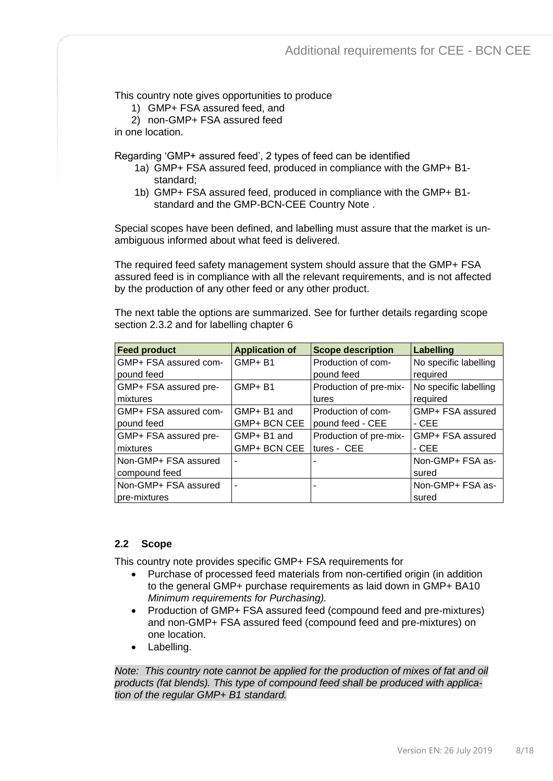This country note gives opportunities to produce

1) GMP+ FSA assured feed, and

2) non-GMP+ FSA assured feed

in one location.

Regarding 'GMP+ assured feed', 2 types of feed can be identified

- 1a) GMP+ FSA assured feed, produced in compliance with the GMP+ B1 standard;
- 1b) GMP+ FSA assured feed, produced in compliance with the GMP+ B1 standard and the GMP-BCN-CEE Country Note .

Special scopes have been defined, and labelling must assure that the market is unambiguous informed about what feed is delivered.

The required feed safety management system should assure that the GMP+ FSA assured feed is in compliance with all the relevant requirements, and is not affected by the production of any other feed or any other product.

The next table the options are summarized. See for further details regarding scope section 2.3.2 and for labelling chapter 6

| <b>Feed product</b>   | <b>Application of</b> | <b>Scope description</b> | <b>Labelling</b>      |
|-----------------------|-----------------------|--------------------------|-----------------------|
| GMP+ FSA assured com- | <b>GMP+B1</b>         | Production of com-       | No specific labelling |
| pound feed            |                       | pound feed               | required              |
| GMP+ FSA assured pre- | <b>GMP+B1</b>         | Production of pre-mix-   | No specific labelling |
| mixtures              |                       | tures                    | required              |
| GMP+ FSA assured com- | GMP+ B1 and           | Production of com-       | GMP+ FSA assured      |
| pound feed            | GMP+ BCN CEE          | pound feed - CEE         | $-CEE$                |
| GMP+ FSA assured pre- | GMP+ B1 and           | Production of pre-mix-   | GMP+ FSA assured      |
| mixtures              | GMP+ BCN CEE          | tures - CEE              | $-CEE$                |
| Non-GMP+ FSA assured  |                       |                          | Non-GMP+ FSA as-      |
| compound feed         |                       |                          | sured                 |
| Non-GMP+ FSA assured  |                       |                          | Non-GMP+ FSA as-      |
| pre-mixtures          |                       |                          | sured                 |

### <span id="page-7-0"></span>**2.2 Scope**

This country note provides specific GMP+ FSA requirements for

- Purchase of processed feed materials from non-certified origin (in addition to the general GMP+ purchase requirements as laid down in GMP+ BA10 *Minimum requirements for Purchasing).*
- Production of GMP+ FSA assured feed (compound feed and pre-mixtures) and non-GMP+ FSA assured feed (compound feed and pre-mixtures) on one location.
- Labelling.

*Note: This country note cannot be applied for the production of mixes of fat and oil products (fat blends). This type of compound feed shall be produced with application of the regular GMP+ B1 standard.*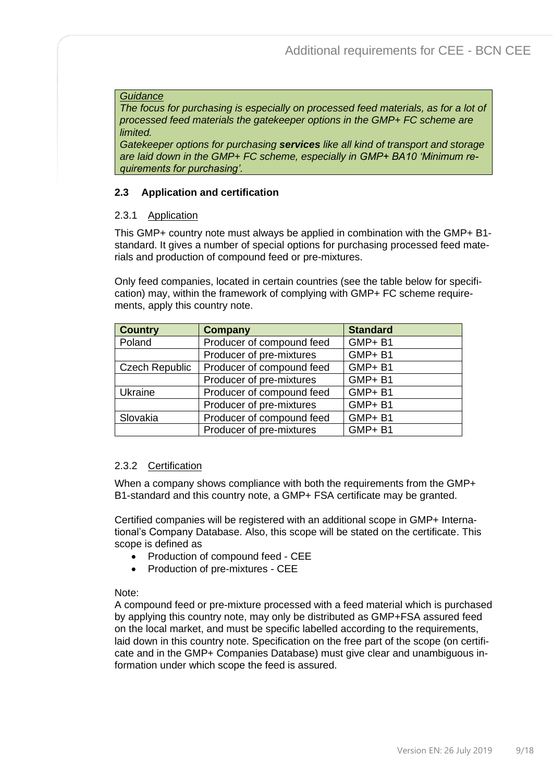#### *Guidance*

*The focus for purchasing is especially on processed feed materials, as for a lot of processed feed materials the gatekeeper options in the GMP+ FC scheme are limited.* 

*Gatekeeper options for purchasing services like all kind of transport and storage are laid down in the GMP+ FC scheme, especially in GMP+ BA10 'Minimum requirements for purchasing'.* 

## <span id="page-8-0"></span>**2.3 Application and certification**

### <span id="page-8-1"></span>2.3.1 Application

This GMP+ country note must always be applied in combination with the GMP+ B1 standard. It gives a number of special options for purchasing processed feed materials and production of compound feed or pre-mixtures.

Only feed companies, located in certain countries (see the table below for specification) may, within the framework of complying with GMP+ FC scheme requirements, apply this country note.

| <b>Country</b>        | <b>Company</b>            | <b>Standard</b> |
|-----------------------|---------------------------|-----------------|
| Poland                | Producer of compound feed | GMP+B1          |
|                       | Producer of pre-mixtures  | GMP+B1          |
| <b>Czech Republic</b> | Producer of compound feed | GMP+B1          |
|                       | Producer of pre-mixtures  | GMP+B1          |
| Ukraine               | Producer of compound feed | GMP+B1          |
|                       | Producer of pre-mixtures  | GMP+B1          |
| Slovakia              | Producer of compound feed | GMP+B1          |
|                       | Producer of pre-mixtures  | GMP+B1          |

### <span id="page-8-2"></span>2.3.2 Certification

When a company shows compliance with both the requirements from the GMP+ B1-standard and this country note, a GMP+ FSA certificate may be granted.

Certified companies will be registered with an additional scope in GMP+ International's Company Database. Also, this scope will be stated on the certificate. This scope is defined as

- Production of compound feed CEE
- Production of pre-mixtures CEE

### Note:

A compound feed or pre-mixture processed with a feed material which is purchased by applying this country note, may only be distributed as GMP+FSA assured feed on the local market, and must be specific labelled according to the requirements, laid down in this country note. Specification on the free part of the scope (on certificate and in the GMP+ Companies Database) must give clear and unambiguous information under which scope the feed is assured.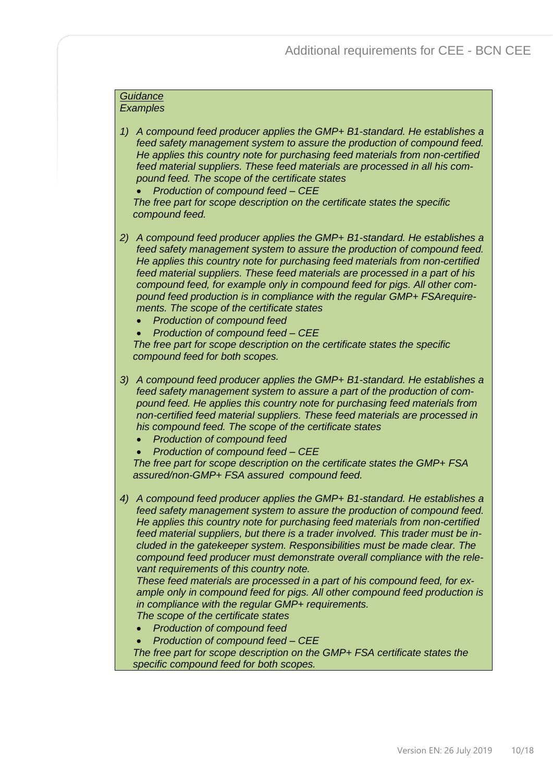#### *Guidance Examples*

- *1) A compound feed producer applies the GMP+ B1-standard. He establishes a feed safety management system to assure the production of compound feed. He applies this country note for purchasing feed materials from non-certified feed material suppliers. These feed materials are processed in all his compound feed. The scope of the certificate states*
	- *Production of compound feed – CEE*

*The free part for scope description on the certificate states the specific compound feed.*

- *2) A compound feed producer applies the GMP+ B1-standard. He establishes a feed safety management system to assure the production of compound feed. He applies this country note for purchasing feed materials from non-certified feed material suppliers. These feed materials are processed in a part of his compound feed, for example only in compound feed for pigs. All other compound feed production is in compliance with the regular GMP+ FSArequirements. The scope of the certificate states*
	- *Production of compound feed*
	- *Production of compound feed – CEE*

*The free part for scope description on the certificate states the specific compound feed for both scopes.*

- *3) A compound feed producer applies the GMP+ B1-standard. He establishes a feed safety management system to assure a part of the production of compound feed. He applies this country note for purchasing feed materials from non-certified feed material suppliers. These feed materials are processed in his compound feed. The scope of the certificate states*
	- *Production of compound feed*
	- *Production of compound feed – CEE*

*The free part for scope description on the certificate states the GMP+ FSA assured/non-GMP+ FSA assured compound feed.*

*4) A compound feed producer applies the GMP+ B1-standard. He establishes a feed safety management system to assure the production of compound feed. He applies this country note for purchasing feed materials from non-certified feed material suppliers, but there is a trader involved. This trader must be included in the gatekeeper system. Responsibilities must be made clear. The compound feed producer must demonstrate overall compliance with the relevant requirements of this country note.* 

*These feed materials are processed in a part of his compound feed, for example only in compound feed for pigs. All other compound feed production is in compliance with the regular GMP+ requirements.*

*The scope of the certificate states*

- *Production of compound feed*
- *Production of compound feed – CEE*

*The free part for scope description on the GMP+ FSA certificate states the specific compound feed for both scopes.*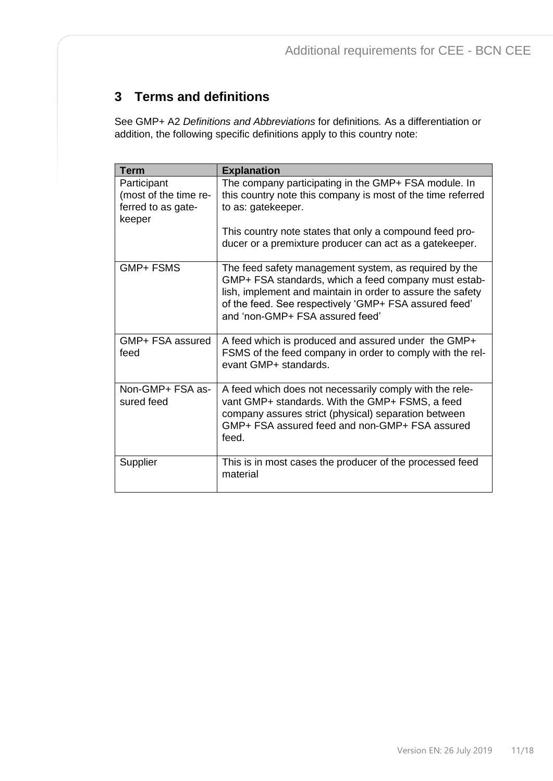# <span id="page-10-0"></span>**3 Terms and definitions**

See GMP+ A2 *Definitions and Abbreviations* for definitions*.* As a differentiation or addition, the following specific definitions apply to this country note:

| <b>Term</b>                                                          | <b>Explanation</b>                                                                                                                                                                                                                                                      |
|----------------------------------------------------------------------|-------------------------------------------------------------------------------------------------------------------------------------------------------------------------------------------------------------------------------------------------------------------------|
| Participant<br>(most of the time re-<br>ferred to as gate-<br>keeper | The company participating in the GMP+ FSA module. In<br>this country note this company is most of the time referred<br>to as: gatekeeper.<br>This country note states that only a compound feed pro-                                                                    |
|                                                                      | ducer or a premixture producer can act as a gatekeeper.                                                                                                                                                                                                                 |
| <b>GMP+FSMS</b>                                                      | The feed safety management system, as required by the<br>GMP+ FSA standards, which a feed company must estab-<br>lish, implement and maintain in order to assure the safety<br>of the feed. See respectively 'GMP+ FSA assured feed'<br>and 'non-GMP+ FSA assured feed' |
| GMP+ FSA assured<br>feed                                             | A feed which is produced and assured under the GMP+<br>FSMS of the feed company in order to comply with the rel-<br>evant GMP+ standards.                                                                                                                               |
| Non-GMP+ FSA as-<br>sured feed                                       | A feed which does not necessarily comply with the rele-<br>vant GMP+ standards. With the GMP+ FSMS, a feed<br>company assures strict (physical) separation between<br>GMP+ FSA assured feed and non-GMP+ FSA assured<br>feed.                                           |
| Supplier                                                             | This is in most cases the producer of the processed feed<br>material                                                                                                                                                                                                    |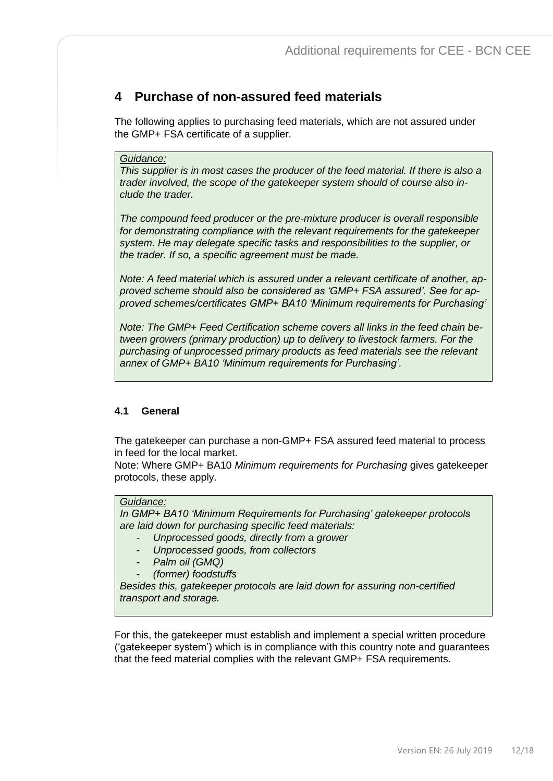# <span id="page-11-0"></span>**4 Purchase of non-assured feed materials**

The following applies to purchasing feed materials, which are not assured under the GMP+ FSA certificate of a supplier.

#### *Guidance:*

*This supplier is in most cases the producer of the feed material. If there is also a trader involved, the scope of the gatekeeper system should of course also include the trader.*

*The compound feed producer or the pre-mixture producer is overall responsible for demonstrating compliance with the relevant requirements for the gatekeeper system. He may delegate specific tasks and responsibilities to the supplier, or the trader. If so, a specific agreement must be made.*

*Note: A feed material which is assured under a relevant certificate of another, approved scheme should also be considered as 'GMP+ FSA assured'. See for approved schemes/certificates GMP+ BA10 'Minimum requirements for Purchasing'* 

*Note: The GMP+ Feed Certification scheme covers all links in the feed chain between growers (primary production) up to delivery to livestock farmers. For the purchasing of unprocessed primary products as feed materials see the relevant annex of GMP+ BA10 'Minimum requirements for Purchasing'.*

## <span id="page-11-1"></span>**4.1 General**

The gatekeeper can purchase a non-GMP+ FSA assured feed material to process in feed for the local market.

Note: Where GMP+ BA10 *Minimum requirements for Purchasing* gives gatekeeper protocols, these apply.

#### *Guidance:*

*In GMP+ BA10 'Minimum Requirements for Purchasing' gatekeeper protocols are laid down for purchasing specific feed materials:*

- *Unprocessed goods, directly from a grower*
- *Unprocessed goods, from collectors*
- *Palm oil (GMQ)*
- *(former) foodstuffs*

*Besides this, gatekeeper protocols are laid down for assuring non-certified transport and storage.*

For this, the gatekeeper must establish and implement a special written procedure ('gatekeeper system') which is in compliance with this country note and guarantees that the feed material complies with the relevant GMP+ FSA requirements.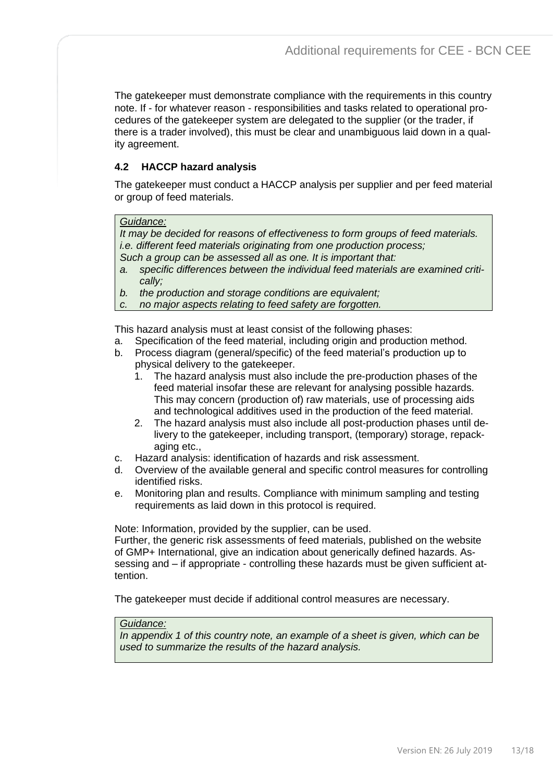The gatekeeper must demonstrate compliance with the requirements in this country note. If - for whatever reason - responsibilities and tasks related to operational procedures of the gatekeeper system are delegated to the supplier (or the trader, if there is a trader involved), this must be clear and unambiguous laid down in a quality agreement.

## <span id="page-12-0"></span>**4.2 HACCP hazard analysis**

The gatekeeper must conduct a HACCP analysis per supplier and per feed material or group of feed materials.

#### *Guidance:*

*It may be decided for reasons of effectiveness to form groups of feed materials. i.e. different feed materials originating from one production process;* 

- *Such a group can be assessed all as one. It is important that:*
- *a. specific differences between the individual feed materials are examined critically;*
- *b. the production and storage conditions are equivalent;*
- *c. no major aspects relating to feed safety are forgotten.*

This hazard analysis must at least consist of the following phases:

- a. Specification of the feed material, including origin and production method.
- b. Process diagram (general/specific) of the feed material's production up to physical delivery to the gatekeeper.
	- 1. The hazard analysis must also include the pre-production phases of the feed material insofar these are relevant for analysing possible hazards. This may concern (production of) raw materials, use of processing aids and technological additives used in the production of the feed material.
	- 2. The hazard analysis must also include all post-production phases until delivery to the gatekeeper, including transport, (temporary) storage, repackaging etc.,
- c. Hazard analysis: identification of hazards and risk assessment.
- d. Overview of the available general and specific control measures for controlling identified risks.
- e. Monitoring plan and results. Compliance with minimum sampling and testing requirements as laid down in this protocol is required.

Note: Information, provided by the supplier, can be used.

Further, the generic risk assessments of feed materials, published on the website of GMP+ International, give an indication about generically defined hazards. Assessing and – if appropriate - controlling these hazards must be given sufficient attention.

The gatekeeper must decide if additional control measures are necessary.

#### *Guidance:*

*In appendix 1 of this country note, an example of a sheet is given, which can be used to summarize the results of the hazard analysis.*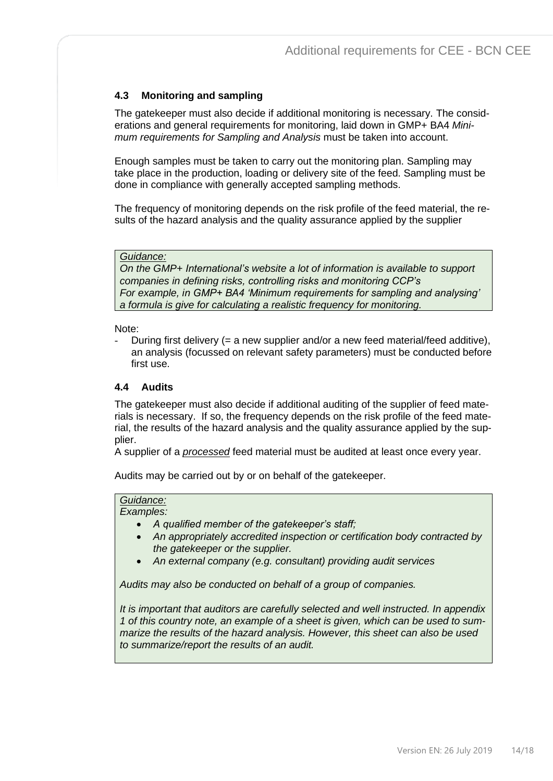# <span id="page-13-0"></span>**4.3 Monitoring and sampling**

The gatekeeper must also decide if additional monitoring is necessary. The considerations and general requirements for monitoring, laid down in GMP+ BA4 *Minimum requirements for Sampling and Analysis* must be taken into account.

Enough samples must be taken to carry out the monitoring plan. Sampling may take place in the production, loading or delivery site of the feed. Sampling must be done in compliance with generally accepted sampling methods.

The frequency of monitoring depends on the risk profile of the feed material, the results of the hazard analysis and the quality assurance applied by the supplier

#### *Guidance:*

*On the GMP+ International's website a lot of information is available to support companies in defining risks, controlling risks and monitoring CCP's For example, in GMP+ BA4 'Minimum requirements for sampling and analysing' a formula is give for calculating a realistic frequency for monitoring.*

#### Note:

- During first delivery (= a new supplier and/or a new feed material/feed additive), an analysis (focussed on relevant safety parameters) must be conducted before first use.

#### <span id="page-13-1"></span>**4.4 Audits**

The gatekeeper must also decide if additional auditing of the supplier of feed materials is necessary. If so, the frequency depends on the risk profile of the feed material, the results of the hazard analysis and the quality assurance applied by the supplier.

A supplier of a *processed* feed material must be audited at least once every year.

Audits may be carried out by or on behalf of the gatekeeper.

#### *Guidance:*

*Examples:* 

- *A qualified member of the gatekeeper's staff;*
- *An appropriately accredited inspection or certification body contracted by the gatekeeper or the supplier.*
- *An external company (e.g. consultant) providing audit services*

*Audits may also be conducted on behalf of a group of companies.*

*It is important that auditors are carefully selected and well instructed. In appendix 1 of this country note, an example of a sheet is given, which can be used to summarize the results of the hazard analysis. However, this sheet can also be used to summarize/report the results of an audit.*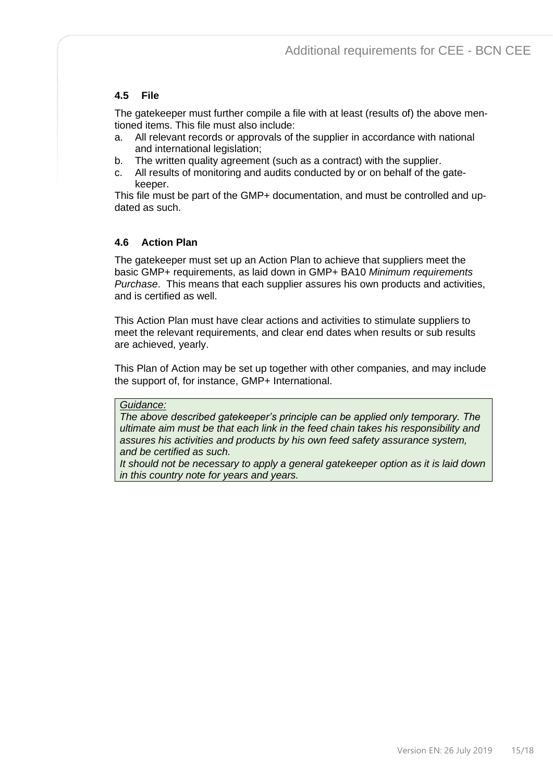# <span id="page-14-0"></span>**4.5 File**

The gatekeeper must further compile a file with at least (results of) the above mentioned items. This file must also include:

- a. All relevant records or approvals of the supplier in accordance with national and international legislation;
- b. The written quality agreement (such as a contract) with the supplier.
- c. All results of monitoring and audits conducted by or on behalf of the gatekeeper.

This file must be part of the GMP+ documentation, and must be controlled and updated as such.

## <span id="page-14-1"></span>**4.6 Action Plan**

The gatekeeper must set up an Action Plan to achieve that suppliers meet the basic GMP+ requirements, as laid down in GMP+ BA10 *Minimum requirements Purchase*. This means that each supplier assures his own products and activities, and is certified as well.

This Action Plan must have clear actions and activities to stimulate suppliers to meet the relevant requirements, and clear end dates when results or sub results are achieved, yearly.

This Plan of Action may be set up together with other companies, and may include the support of, for instance, GMP+ International.

#### *Guidance:*

*The above described gatekeeper's principle can be applied only temporary. The ultimate aim must be that each link in the feed chain takes his responsibility and assures his activities and products by his own feed safety assurance system, and be certified as such.* 

*It should not be necessary to apply a general gatekeeper option as it is laid down in this country note for years and years.*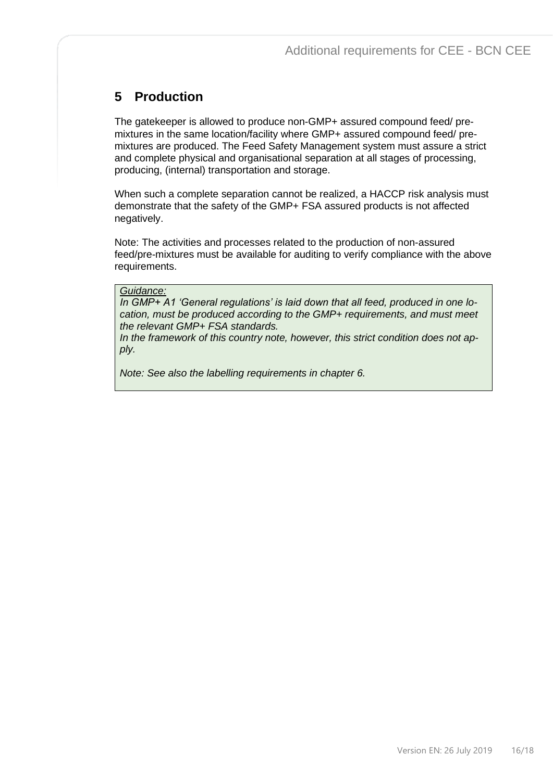# <span id="page-15-0"></span>**5 Production**

The gatekeeper is allowed to produce non-GMP+ assured compound feed/ premixtures in the same location/facility where GMP+ assured compound feed/ premixtures are produced. The Feed Safety Management system must assure a strict and complete physical and organisational separation at all stages of processing, producing, (internal) transportation and storage.

When such a complete separation cannot be realized, a HACCP risk analysis must demonstrate that the safety of the GMP+ FSA assured products is not affected negatively.

Note: The activities and processes related to the production of non-assured feed/pre-mixtures must be available for auditing to verify compliance with the above requirements.

#### *Guidance:*

*In GMP+ A1 'General regulations' is laid down that all feed, produced in one location, must be produced according to the GMP+ requirements, and must meet the relevant GMP+ FSA standards.*

*In the framework of this country note, however, this strict condition does not apply.*

*Note: See also the labelling requirements in chapter 6.*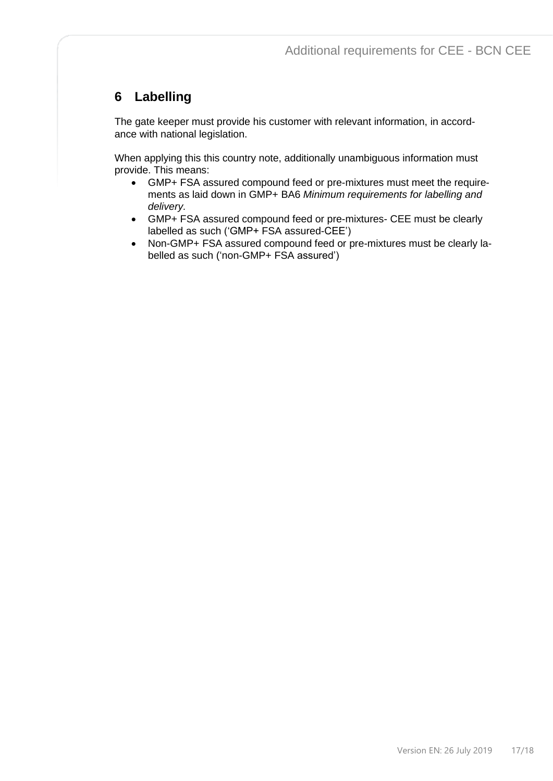# <span id="page-16-0"></span>**6 Labelling**

The gate keeper must provide his customer with relevant information, in accordance with national legislation.

When applying this this country note, additionally unambiguous information must provide. This means:

- GMP+ FSA assured compound feed or pre-mixtures must meet the requirements as laid down in GMP+ BA6 *Minimum requirements for labelling and delivery.*
- GMP+ FSA assured compound feed or pre-mixtures- CEE must be clearly labelled as such ('GMP+ FSA assured-CEE')
- Non-GMP+ FSA assured compound feed or pre-mixtures must be clearly labelled as such ('non-GMP+ FSA assured')